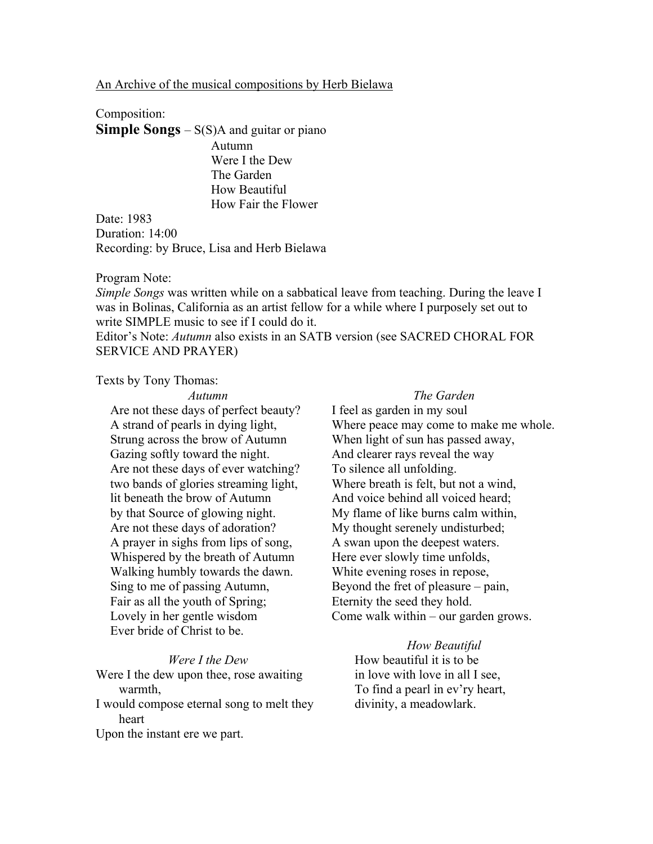# An Archive of the musical compositions by Herb Bielawa

How Fair the Flower

## Composition:

**Simple Songs** – S(S)A and guitar or piano Autumn Were I the Dew The Garden How Beautiful

Date: 1983 Duration: 14:00 Recording: by Bruce, Lisa and Herb Bielawa

### Program Note:

*Simple Songs* was written while on a sabbatical leave from teaching. During the leave I was in Bolinas, California as an artist fellow for a while where I purposely set out to write SIMPLE music to see if I could do it.

Editor's Note: *Autumn* also exists in an SATB version (see SACRED CHORAL FOR SERVICE AND PRAYER)

Texts by Tony Thomas:

#### *Autumn*

# Are not these days of perfect beauty? A strand of pearls in dying light, Strung across the brow of Autumn Gazing softly toward the night. Are not these days of ever watching? two bands of glories streaming light, lit beneath the brow of Autumn by that Source of glowing night. Are not these days of adoration? A prayer in sighs from lips of song, Whispered by the breath of Autumn Walking humbly towards the dawn. Sing to me of passing Autumn, Fair as all the youth of Spring; Lovely in her gentle wisdom Ever bride of Christ to be.

### *Were I the Dew*

Were I the dew upon thee, rose awaiting warmth, I would compose eternal song to melt they

### heart

Upon the instant ere we part.

# *The Garden*

I feel as garden in my soul Where peace may come to make me whole. When light of sun has passed away, And clearer rays reveal the way To silence all unfolding. Where breath is felt, but not a wind. And voice behind all voiced heard; My flame of like burns calm within, My thought serenely undisturbed; A swan upon the deepest waters. Here ever slowly time unfolds, White evening roses in repose, Beyond the fret of pleasure – pain, Eternity the seed they hold. Come walk within – our garden grows.

### *How Beautiful*

How beautiful it is to be in love with love in all I see, To find a pearl in ev'ry heart, divinity, a meadowlark.